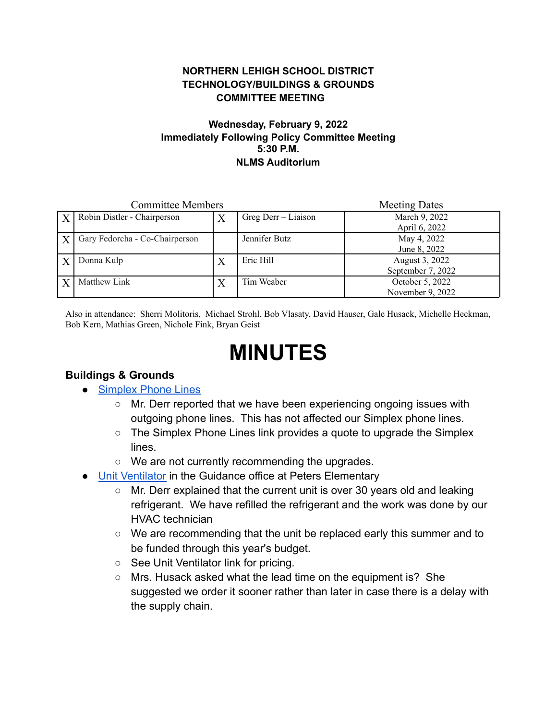### **NORTHERN LEHIGH SCHOOL DISTRICT TECHNOLOGY/BUILDINGS & GROUNDS COMMITTEE MEETING**

#### **Wednesday, February 9, 2022 Immediately Following Policy Committee Meeting 5:30 P.M. NLMS Auditorium**

| <b>Committee Members</b> |                                |   |                     | <b>Meeting Dates</b>                |
|--------------------------|--------------------------------|---|---------------------|-------------------------------------|
| $\mathbf{X}$             | Robin Distler - Chairperson    | Χ | Greg Derr – Liaison | March 9, 2022<br>April 6, 2022      |
|                          | Gary Fedorcha - Co-Chairperson |   | Jennifer Butz       | May 4, 2022<br>June 8, 2022         |
|                          | Donna Kulp                     | Χ | Eric Hill           | August 3, 2022<br>September 7, 2022 |
|                          | Matthew Link                   | Χ | Tim Weaber          | October 5, 2022<br>November 9, 2022 |

Also in attendance: Sherri Molitoris, Michael Strohl, Bob Vlasaty, David Hauser, Gale Husack, Michelle Heckman, Bob Kern, Mathias Green, Nichole Fink, Bryan Geist

# **MINUTES**

### **Buildings & Grounds**

- [Simplex Phone Lines](https://drive.google.com/file/d/1YR7sFAPn2mT8wLtmNFPCUQXlCvGdMy9y/view?usp=sharing)
	- Mr. Derr reported that we have been experiencing ongoing issues with outgoing phone lines. This has not affected our Simplex phone lines.
	- The Simplex Phone Lines link provides a quote to upgrade the Simplex lines.
	- We are not currently recommending the upgrades.
- [Unit Ventilator](https://drive.google.com/file/d/1qf9jiewpvTADwoIGDHYVpy5imIe14Ikj/view?usp=sharing) in the Guidance office at Peters Elementary
	- Mr. Derr explained that the current unit is over 30 years old and leaking refrigerant. We have refilled the refrigerant and the work was done by our HVAC technician
	- We are recommending that the unit be replaced early this summer and to be funded through this year's budget.
	- See Unit Ventilator link for pricing.
	- Mrs. Husack asked what the lead time on the equipment is? She suggested we order it sooner rather than later in case there is a delay with the supply chain.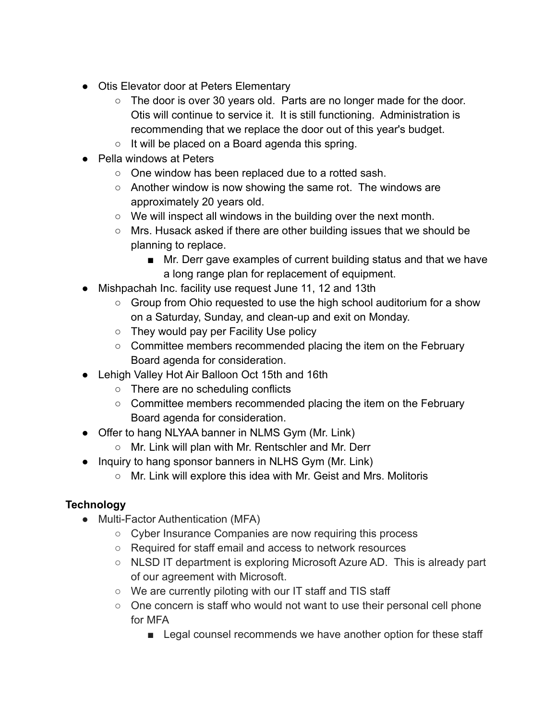- Otis Elevator door at Peters Elementary
	- The door is over 30 years old. Parts are no longer made for the door. Otis will continue to service it. It is still functioning. Administration is recommending that we replace the door out of this year's budget.
	- $\circ$  It will be placed on a Board agenda this spring.
- Pella windows at Peters
	- One window has been replaced due to a rotted sash.
	- Another window is now showing the same rot. The windows are approximately 20 years old.
	- We will inspect all windows in the building over the next month.
	- Mrs. Husack asked if there are other building issues that we should be planning to replace.
		- Mr. Derr gave examples of current building status and that we have a long range plan for replacement of equipment.
- Mishpachah Inc. facility use request June 11, 12 and 13th
	- Group from Ohio requested to use the high school auditorium for a show on a Saturday, Sunday, and clean-up and exit on Monday.
	- They would pay per Facility Use policy
	- Committee members recommended placing the item on the February Board agenda for consideration.
- Lehigh Valley Hot Air Balloon Oct 15th and 16th
	- There are no scheduling conflicts
	- Committee members recommended placing the item on the February Board agenda for consideration.
- Offer to hang NLYAA banner in NLMS Gym (Mr. Link)
	- Mr. Link will plan with Mr. Rentschler and Mr. Derr
- Inquiry to hang sponsor banners in NLHS Gym (Mr. Link)
	- Mr. Link will explore this idea with Mr. Geist and Mrs. Molitoris

## **Technology**

- Multi-Factor Authentication (MFA)
	- Cyber Insurance Companies are now requiring this process
	- Required for staff email and access to network resources
	- NLSD IT department is exploring Microsoft Azure AD. This is already part of our agreement with Microsoft.
	- We are currently piloting with our IT staff and TIS staff
	- One concern is staff who would not want to use their personal cell phone for MFA
		- Legal counsel recommends we have another option for these staff